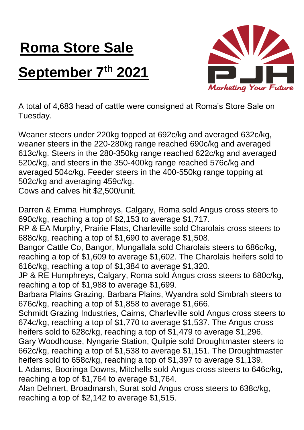## **Roma Store Sale**

## **September 7th 2021**



A total of 4,683 head of cattle were consigned at Roma's Store Sale on Tuesday.

Weaner steers under 220kg topped at 692c/kg and averaged 632c/kg, weaner steers in the 220-280kg range reached 690c/kg and averaged 613c/kg. Steers in the 280-350kg range reached 622c/kg and averaged 520c/kg, and steers in the 350-400kg range reached 576c/kg and averaged 504c/kg. Feeder steers in the 400-550kg range topping at 502c/kg and averaging 459c/kg.

Cows and calves hit \$2,500/unit.

Darren & Emma Humphreys, Calgary, Roma sold Angus cross steers to 690c/kg, reaching a top of \$2,153 to average \$1,717.

RP & EA Murphy, Prairie Flats, Charleville sold Charolais cross steers to 688c/kg, reaching a top of \$1,690 to average \$1,508.

Bangor Cattle Co, Bangor, Mungallala sold Charolais steers to 686c/kg, reaching a top of \$1,609 to average \$1,602. The Charolais heifers sold to 616c/kg, reaching a top of \$1,384 to average \$1,320.

JP & RE Humphreys, Calgary, Roma sold Angus cross steers to 680c/kg, reaching a top of \$1,988 to average \$1,699.

Barbara Plains Grazing, Barbara Plains, Wyandra sold Simbrah steers to 676c/kg, reaching a top of \$1,858 to average \$1,666.

Schmidt Grazing Industries, Cairns, Charleville sold Angus cross steers to 674c/kg, reaching a top of \$1,770 to average \$1,537. The Angus cross heifers sold to 628c/kg, reaching a top of \$1,479 to average \$1,296.

Gary Woodhouse, Nyngarie Station, Quilpie sold Droughtmaster steers to 662c/kg, reaching a top of \$1,538 to average \$1,151. The Droughtmaster heifers sold to 658c/kg, reaching a top of \$1,397 to average \$1,139.

L Adams, Booringa Downs, Mitchells sold Angus cross steers to 646c/kg, reaching a top of \$1,764 to average \$1,764.

Alan Dehnert, Broadmarsh, Surat sold Angus cross steers to 638c/kg, reaching a top of \$2,142 to average \$1,515.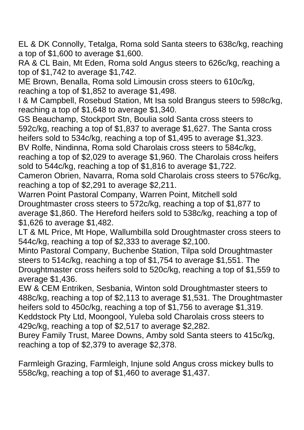EL & DK Connolly, Tetalga, Roma sold Santa steers to 638c/kg, reaching a top of \$1,600 to average \$1,600.

RA & CL Bain, Mt Eden, Roma sold Angus steers to 626c/kg, reaching a top of \$1,742 to average \$1,742.

ME Brown, Benalla, Roma sold Limousin cross steers to 610c/kg, reaching a top of \$1,852 to average \$1,498.

I & M Campbell, Rosebud Station, Mt Isa sold Brangus steers to 598c/kg, reaching a top of \$1,648 to average \$1,340.

GS Beauchamp, Stockport Stn, Boulia sold Santa cross steers to 592c/kg, reaching a top of \$1,837 to average \$1,627. The Santa cross heifers sold to 534c/kg, reaching a top of \$1,495 to average \$1,323.

BV Rolfe, Nindinna, Roma sold Charolais cross steers to 584c/kg,

reaching a top of \$2,029 to average \$1,960. The Charolais cross heifers sold to 544c/kg, reaching a top of \$1,816 to average \$1,722.

Cameron Obrien, Navarra, Roma sold Charolais cross steers to 576c/kg, reaching a top of \$2,291 to average \$2,211.

Warren Point Pastoral Company, Warren Point, Mitchell sold Droughtmaster cross steers to 572c/kg, reaching a top of \$1,877 to average \$1,860. The Hereford heifers sold to 538c/kg, reaching a top of \$1,626 to average \$1,482.

LT & ML Price, Mt Hope, Wallumbilla sold Droughtmaster cross steers to 544c/kg, reaching a top of \$2,333 to average \$2,100.

Minto Pastoral Company, Buchenbe Station, Tilpa sold Droughtmaster steers to 514c/kg, reaching a top of \$1,754 to average \$1,551. The Droughtmaster cross heifers sold to 520c/kg, reaching a top of \$1,559 to average \$1,436.

EW & CEM Entriken, Sesbania, Winton sold Droughtmaster steers to 488c/kg, reaching a top of \$2,113 to average \$1,531. The Droughtmaster heifers sold to 450c/kg, reaching a top of \$1,756 to average \$1,319. Keddstock Pty Ltd, Moongool, Yuleba sold Charolais cross steers to 429c/kg, reaching a top of \$2,517 to average \$2,282.

Burey Family Trust, Maree Downs, Amby sold Santa steers to 415c/kg, reaching a top of \$2,379 to average \$2,378.

Farmleigh Grazing, Farmleigh, Injune sold Angus cross mickey bulls to 558c/kg, reaching a top of \$1,460 to average \$1,437.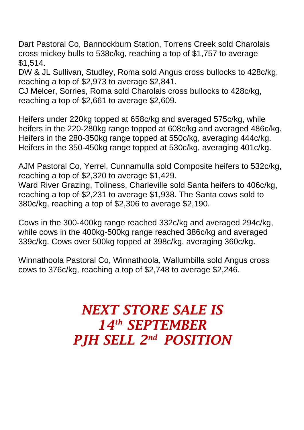Dart Pastoral Co, Bannockburn Station, Torrens Creek sold Charolais cross mickey bulls to 538c/kg, reaching a top of \$1,757 to average \$1,514.

DW & JL Sullivan, Studley, Roma sold Angus cross bullocks to 428c/kg, reaching a top of \$2,973 to average \$2,841.

CJ Melcer, Sorries, Roma sold Charolais cross bullocks to 428c/kg, reaching a top of \$2,661 to average \$2,609.

Heifers under 220kg topped at 658c/kg and averaged 575c/kg, while heifers in the 220-280kg range topped at 608c/kg and averaged 486c/kg. Heifers in the 280-350kg range topped at 550c/kg, averaging 444c/kg. Heifers in the 350-450kg range topped at 530c/kg, averaging 401c/kg.

AJM Pastoral Co, Yerrel, Cunnamulla sold Composite heifers to 532c/kg, reaching a top of \$2,320 to average \$1,429. Ward River Grazing, Toliness, Charleville sold Santa heifers to 406c/kg, reaching a top of \$2,231 to average \$1,938. The Santa cows sold to 380c/kg, reaching a top of \$2,306 to average \$2,190.

Cows in the 300-400kg range reached 332c/kg and averaged 294c/kg, while cows in the 400kg-500kg range reached 386c/kg and averaged 339c/kg. Cows over 500kg topped at 398c/kg, averaging 360c/kg.

Winnathoola Pastoral Co, Winnathoola, Wallumbilla sold Angus cross cows to 376c/kg, reaching a top of \$2,748 to average \$2,246.

## *NEXT STORE SALE IS 14th SEPTEMBER PJH SELL 2 nd POSITION*